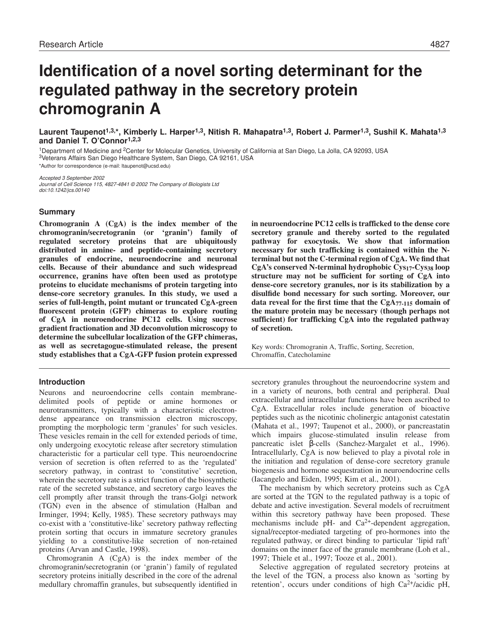# **Identification of a novel sorting determinant for the regulated pathway in the secretory protein chromogranin A**

**Laurent Taupenot1,3,\*, Kimberly L. Harper1,3, Nitish R. Mahapatra1,3, Robert J. Parmer1,3, Sushil K. Mahata1,3 and Daniel T. O'Connor1,2,3**

<sup>1</sup>Department of Medicine and 2Center for Molecular Genetics, University of California at San Diego, La Jolla, CA 92093, USA <sup>3</sup>Veterans Affairs San Diego Healthcare System, San Diego, CA 92161, USA

\*Author for correspondence (e-mail: ltaupenot@ucsd.edu)

Accepted 3 September 2002 Journal of Cell Science 115, 4827-4841 © 2002 The Company of Biologists Ltd doi:10.1242/jcs.00140

### **Summary**

**Chromogranin A (CgA) is the index member of the chromogranin/secretogranin (or 'granin') family of regulated secretory proteins that are ubiquitously distributed in amine- and peptide-containing secretory granules of endocrine, neuroendocrine and neuronal cells. Because of their abundance and such widespread occurrence, granins have often been used as prototype proteins to elucidate mechanisms of protein targeting into dense-core secretory granules. In this study, we used a series of full-length, point mutant or truncated CgA-green fluorescent protein (GFP) chimeras to explore routing of CgA in neuroendocrine PC12 cells. Using sucrose gradient fractionation and 3D deconvolution microscopy to determine the subcellular localization of the GFP chimeras, as well as secretagogue-stimulated release, the present study establishes that a CgA-GFP fusion protein expressed**

# **Introduction**

Neurons and neuroendocrine cells contain membranedelimited pools of peptide or amine hormones or neurotransmitters, typically with a characteristic electrondense appearance on transmission electron microscopy, prompting the morphologic term 'granules' for such vesicles. These vesicles remain in the cell for extended periods of time, only undergoing exocytotic release after secretory stimulation characteristic for a particular cell type. This neuroendocrine version of secretion is often referred to as the 'regulated' secretory pathway, in contrast to 'constitutive' secretion, wherein the secretory rate is a strict function of the biosynthetic rate of the secreted substance, and secretory cargo leaves the cell promptly after transit through the trans-Golgi network (TGN) even in the absence of stimulation (Halban and Irminger, 1994; Kelly, 1985). These secretory pathways may co-exist with a 'constitutive-like' secretory pathway reflecting protein sorting that occurs in immature secretory granules yielding to a constitutive-like secretion of non-retained proteins (Arvan and Castle, 1998).

Chromogranin A (CgA) is the index member of the chromogranin/secretogranin (or 'granin') family of regulated secretory proteins initially described in the core of the adrenal medullary chromaffin granules, but subsequently identified in

**in neuroendocrine PC12 cells is trafficked to the dense core secretory granule and thereby sorted to the regulated pathway for exocytosis. We show that information necessary for such trafficking is contained within the Nterminal but not the C-terminal region of CgA. We find that CgA's conserved N-terminal hydrophobic Cys17-Cys38 loop structure may not be sufficient for sorting of CgA into dense-core secretory granules, nor is its stabilization by a disulfide bond necessary for such sorting. Moreover, our data reveal for the first time that the CgA77-115 domain of the mature protein may be necessary (though perhaps not sufficient) for trafficking CgA into the regulated pathway of secretion.**

Key words: Chromogranin A, Traffic, Sorting, Secretion, Chromaffin, Catecholamine

secretory granules throughout the neuroendocrine system and in a variety of neurons, both central and peripheral. Dual extracellular and intracellular functions have been ascribed to CgA. Extracellular roles include generation of bioactive peptides such as the nicotinic cholinergic antagonist catestatin (Mahata et al., 1997; Taupenot et al., 2000), or pancreastatin which impairs glucose-stimulated insulin release from pancreatic islet β-cells (Sanchez-Margalet et al., 1996). Intracellularly, CgA is now believed to play a pivotal role in the initiation and regulation of dense-core secretory granule biogenesis and hormone sequestration in neuroendocrine cells (Iacangelo and Eiden, 1995; Kim et al., 2001).

The mechanism by which secretory proteins such as CgA are sorted at the TGN to the regulated pathway is a topic of debate and active investigation. Several models of recruitment within this secretory pathway have been proposed. These mechanisms include pH- and Ca2+-dependent aggregation, signal/receptor-mediated targeting of pro-hormones into the regulated pathway, or direct binding to particular 'lipid raft' domains on the inner face of the granule membrane (Loh et al., 1997; Thiele et al., 1997; Tooze et al., 2001).

Selective aggregation of regulated secretory proteins at the level of the TGN, a process also known as 'sorting by retention', occurs under conditions of high  $Ca^{2+}/\text{acidic pH}$ ,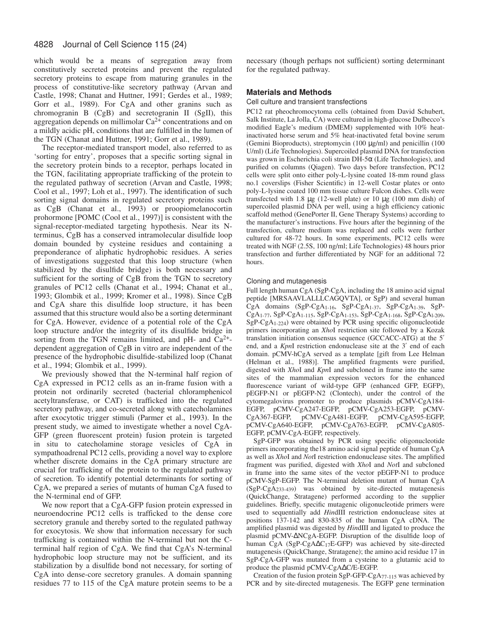which would be a means of segregation away from constitutively secreted proteins and prevent the regulated secretory proteins to escape from maturing granules in the process of constitutive-like secretory pathway (Arvan and Castle, 1998; Chanat and Huttner, 1991; Gerdes et al., 1989; Gorr et al., 1989). For CgA and other granins such as chromogranin B (CgB) and secretogranin II (SgII), this aggregation depends on millimolar  $Ca^{2+}$  concentrations and on a mildly acidic pH, conditions that are fulfilled in the lumen of the TGN (Chanat and Huttner, 1991; Gorr et al., 1989).

The receptor-mediated transport model, also referred to as 'sorting for entry', proposes that a specific sorting signal in the secretory protein binds to a receptor, perhaps located in the TGN, facilitating appropriate trafficking of the protein to the regulated pathway of secretion (Arvan and Castle, 1998; Cool et al., 1997; Loh et al., 1997). The identification of such sorting signal domains in regulated secretory proteins such as CgB (Chanat et al., 1993) or proopiomelanocortin prohormone [POMC (Cool et al., 1997)] is consistent with the signal-receptor-mediated targeting hypothesis. Near its Nterminus, CgB has a conserved intramolecular disulfide loop domain bounded by cysteine residues and containing a preponderance of aliphatic hydrophobic residues. A series of investigations suggested that this loop structure (when stabilized by the disulfide bridge) is both necessary and sufficient for the sorting of CgB from the TGN to secretory granules of PC12 cells (Chanat et al., 1994; Chanat et al., 1993; Glombik et al., 1999; Kromer et al., 1998). Since CgB and CgA share this disulfide loop structure, it has been assumed that this structure would also be a sorting determinant for CgA. However, evidence of a potential role of the CgA loop structure and/or the integrity of its disulfide bridge in sorting from the TGN remains limited, and pH- and  $Ca^{2+}$ dependent aggregation of CgB in vitro are independent of the presence of the hydrophobic disulfide-stabilized loop (Chanat et al., 1994; Glombik et al., 1999).

We previously showed that the N-terminal half region of CgA expressed in PC12 cells as an in-frame fusion with a protein not ordinarily secreted (bacterial chloramphenicol acetyltransferase, or CAT) is trafficked into the regulated secretory pathway, and co-secreted along with catecholamines after exocytotic trigger stimuli (Parmer et al., 1993). In the present study, we aimed to investigate whether a novel CgA-GFP (green fluorescent protein) fusion protein is targeted in situ to catecholamine storage vesicles of CgA in sympathoadrenal PC12 cells, providing a novel way to explore whether discrete domains in the CgA primary structure are crucial for trafficking of the protein to the regulated pathway of secretion. To identify potential determinants for sorting of CgA, we prepared a series of mutants of human CgA fused to the N-terminal end of GFP.

We now report that a CgA-GFP fusion protein expressed in neuroendocrine PC12 cells is trafficked to the dense core secretory granule and thereby sorted to the regulated pathway for exocytosis. We show that information necessary for such trafficking is contained within the N-terminal but not the Cterminal half region of CgA. We find that CgA's N-terminal hydrophobic loop structure may not be sufficient, and its stabilization by a disulfide bond not necessary, for sorting of CgA into dense-core secretory granules. A domain spanning residues 77 to 115 of the CgA mature protein seems to be a necessary (though perhaps not sufficient) sorting determinant for the regulated pathway.

# **Materials and Methods**

### Cell culture and transient transfections

PC12 rat pheochromocytoma cells (obtained from David Schubert, Salk Institute, La Jolla, CA) were cultured in high-glucose Dulbecco's modified Eagle's medium (DMEM) supplemented with 10% heatinactivated horse serum and 5% heat-inactivated fetal bovine serum (Gemini Bioproducts), streptomycin (100 µg/ml) and penicillin (100 U/ml) (Life Technologies). Supercoiled plasmid DNA for transfection was grown in Escherichia coli strain DH-5α (Life Technologies), and purified on columns (Qiagen). Two days before transfection, PC12 cells were split onto either poly-L-lysine coated 18-mm round glass no.1 coverslips (Fisher Scientific) in 12-well Costar plates or onto poly-L-lysine coated 100 mm tissue culture Falcon dishes. Cells were transfected with 1.8 µg (12-well plate) or 10 µg (100 mm dish) of supercoiled plasmid DNA per well, using a high efficiency cationic scaffold method (GenePorter II, Gene Therapy Systems) according to the manufacturer's instructions. Five hours after the beginning of the transfection, culture medium was replaced and cells were further cultured for 48-72 hours. In some experiments, PC12 cells were treated with NGF (2.5S, 100 ng/ml; Life Technologies) 48 hours prior transfection and further differentiated by NGF for an additional 72 hours.

### Cloning and mutagenesis

Full length human CgA (SgP-CgA, including the 18 amino acid signal peptide [MRSAAVLALLLCAGQVTA], or SgP) and several human CgA domains (SgP-CgA1-16, SgP-CgA1-37, SgP-CgA1-39, SgP-CgA1-77, SgP-CgA1-115, SgP-CgA1-153, SgP-CgA1-168, SgP-CgAl-209, SgP-CgA1-224) were obtained by PCR using specific oligonucleotide primers incorporating an *Xho*I restriction site followed by a Kozak translation initiation consensus sequence (GCCACC-ATG) at the 5′ end, and a *Kpn*I restriction endonuclease site at the 3′ end of each domain. pCMV-hCgA served as a template [gift from Lee Helman (Helman et al., 1988)]. The amplified fragments were purified, digested with *Xho*I and *Kpn*I and subcloned in frame into the same sites of the mammalian expression vectors for the enhanced fluorescence variant of wild-type GFP (enhanced GFP, EGFP), pEGFP-N1 or pEGFP-N2 (Clontech), under the control of the cytomegalovirus promoter to produce plasmids pCMV-CgA184- EGFP, pCMV-CgA247-EGFP, pCMV-CgA253-EGFP, pCMV-CgA367-EGFP, pCMV-CgA481-EGFP, pCMV-CgA595-EGFP, pCMV-CgA640-EGFP, pCMV-CgA763-EGFP, pCMV-CgA805- EGFP, pCMV-CgA-EGFP, respectively.

SgP-GFP was obtained by PCR using specific oligonucleotide primers incorporating the18 amino acid signal peptide of human CgA as well as *Xho*I and *Not*I restriction endonuclease sites. The amplified fragment was purified, digested with *Xho*I and *Not*I and subcloned in frame into the same sites of the vector pEGFP-N1 to produce pCMV-SgP-EGFP. The N-terminal deletion mutant of human CgA (SgP-CgA233-439) was obtained by site-directed mutagenesis (QuickChange, Stratagene) performed according to the supplier guidelines. Briefly, specific mutagenic oligonucleotide primers were used to sequentially add *Hin*dIII restriction endonuclease sites at positions 137-142 and 830-835 of the human CgA cDNA. The amplified plasmid was digested by *Hin*dIII and ligated to produce the plasmid pCMV-∆NCgA-EGFP. Disruption of the disulfide loop of human CgA (SgP-CgA∆C17E-GFP) was achieved by site-directed mutagenesis (QuickChange, Stratagene); the amino acid residue 17 in SgP-CgA-GFP was mutated from a cysteine to a glutamic acid to produce the plasmid pCMV-CgA∆C/E-EGFP.

Creation of the fusion protein SgP-GFP-CgA77-115 was achieved by PCR and by site-directed mutagenesis. The EGFP gene termination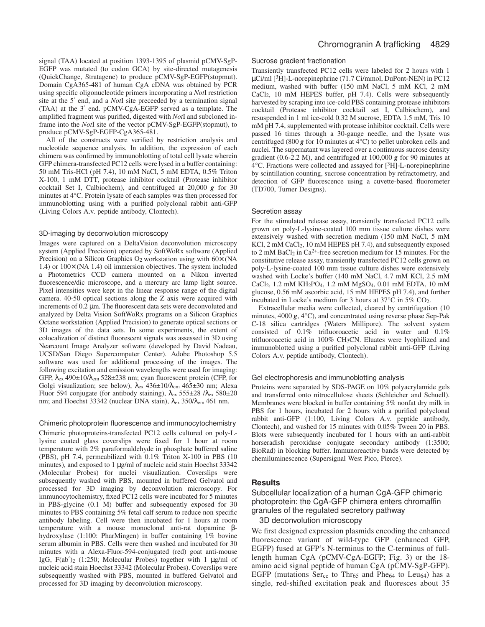signal (TAA) located at position 1393-1395 of plasmid pCMV-SgP-EGFP was mutated (to codon GCA) by site-directed mutagenesis (QuickChange, Stratagene) to produce pCMV-SgP-EGFP(stopmut). Domain CgA365-481 of human CgA cDNA was obtained by PCR using specific oligonucleotide primers incorporating a *Not*I restriction site at the 5′ end, and a *Not*I site preceeded by a termination signal (TAA) at the 3′ end. pCMV-CgA-EGFP served as a template. The amplified fragment was purified, digested with *Not*I and subcloned inframe into the *Not*I site of the vector pCMV-SgP-EGFP(stopmut), to produce pCMV-SgP-EGFP-CgA365-481.

All of the constructs were verified by restriction analysis and nucleotide sequence analysis. In addition, the expression of each chimera was confirmed by immunoblotting of total cell lysate wherein GFP chimera-transfected PC12 cells were lysed in a buffer containing: 50 mM Tris-HCl (pH 7.4), 10 mM NaCl, 5 mM EDTA, 0.5% Triton X-100, 1 mM DTT, protease inhibitor cocktail (Protease inhibitor cocktail Set I, Calbiochem), and centrifuged at 20,000 *g* for 30 minutes at 4°C. Protein lysate of each samples was then processed for immunoblotting using with a purified polyclonal rabbit anti-GFP (Living Colors A.v. peptide antibody, Clontech).

# 3D-imaging by deconvolution microscopy

Images were captured on a DeltaVision deconvolution microscopy system (Applied Precision) operated by SoftWoRx software (Applied Precision) on a Silicon Graphics  $O_2$  workstation using with  $60 \times (NA)$ 1.4) or 100× (NA 1.4) oil immersion objectives. The system included a Photometrics CCD camera mounted on a Nikon inverted fluorescence/dic microscope, and a mercury arc lamp light source. Pixel intensities were kept in the linear response range of the digital camera. 40-50 optical sections along the Z axis were acquired with increments of 0.2 µm. The fluorescent data sets were deconvoluted and analyzed by Delta Vision SoftWoRx programs on a Silicon Graphics Octane workstation (Applied Precision) to generate optical sections or 3D images of the data sets. In some experiments, the extent of colocalization of distinct fluorescent signals was assessed in 3D using Nearcount Image Analyzer software (developed by David Nadeau, UCSD/San Diego Supercomputer Center). Adobe Photoshop 5.5 software was used for additional processing of the images. The following excitation and emission wavelengths were used for imaging: GFP, λex 490±10/λem 528±238 nm; cyan fluorescent protein (CFP, for Golgi visualization; see below), λex 436±10/λem 465±30 nm; Alexa Fluor 594 conjugate (for antibody staining),  $λ_{ex}$  555±28  $/λ_{ex}$  580±20 nm; and Hoechst 33342 (nuclear DNA stain), λex 350/λem 461 nm.

### Chimeric photoprotein fluorescence and immunocytochemistry

Chimeric photoproteins-transfected PC12 cells cultured on poly-Llysine coated glass coverslips were fixed for 1 hour at room temperature with 2% paraformaldehyde in phosphate buffered saline (PBS), pH 7.4, permeabilized with 0.1% Triton X-100 in PBS (10 minutes), and exposed to 1 µg/ml of nucleic acid stain Hoechst 33342 (Molecular Probes) for nuclei visualization. Coverslips were subsequently washed with PBS, mounted in buffered Gelvatol and processed for 3D imaging by deconvolution microscopy. For immunocytochemistry, fixed PC12 cells were incubated for 5 minutes in PBS-glycine (0.1 M) buffer and subsequently exposed for 30 minutes to PBS containing 5% fetal calf serum to reduce non specific antibody labeling. Cell were then incubated for 1 hours at room temperature with a mouse monoclonal anti-rat dopamine βhydroxylase (1:100: PharMingen) in buffer containing 1% bovine serum albumin in PBS. Cells were then washed and incubated for 30 minutes with a Alexa-Fluor-594-conjugated (red) goat anti-mouse IgG,  $F(ab')_2$  (1:250; Molecular Probes) together with 1  $\mu$ g/ml of nucleic acid stain Hoechst 33342 (Molecular Probes). Coverslips were subsequently washed with PBS, mounted in buffered Gelvatol and processed for 3D imaging by deconvolution microscopy.

### Sucrose gradient fractionation

Transiently transfected PC12 cells were labeled for 2 hours with 1 µCi/ml [3H]-L-norepinephrine (71.7 Ci/mmol, DuPont-NEN) in PC12 medium, washed with buffer (150 mM NaCl, 5 mM KCl, 2 mM CaCl2, 10 mM HEPES buffer, pH 7.4). Cells were subsequently harvested by scraping into ice-cold PBS containing protease inhibitors cocktail (Protease inhibitor cocktail set I, Calbiochem), and resuspended in 1 ml ice-cold 0.32 M sucrose, EDTA 1.5 mM, Tris 10 mM pH 7.4, supplemented with protease inhibitor cocktail. Cells were passed 16 times through a 30-gauge needle, and the lysate was centrifuged (800  $g$  for 10 minutes at  $4^{\circ}$ C) to pellet unbroken cells and nuclei. The supernatant was layered over a continuous sucrose density gradient (0.6-2.2 M), and centrifuged at 100,000 *g* for 90 minutes at 4°C. Fractions were collected and assayed for [3H]-L-norepinephrine by scintillation counting, sucrose concentration by refractometry, and detection of GFP fluorescence using a cuvette-based fluorometer (TD700, Turner Designs).

### Secretion assay

For the stimulated release assay, transiently transfected PC12 cells grown on poly-L-lysine-coated 100 mm tissue culture dishes were extensively washed with secretion medium (150 mM NaCl, 5 mM KCl, 2 mM CaCl2, 10 mM HEPES pH 7.4), and subsequently exposed to 2 mM BaCl<sub>2</sub> in Ca<sup>2+</sup>-free secretion medium for 15 minutes. For the constitutive release assay, transiently transfected PC12 cells grown on poly-L-lysine-coated 100 mm tissue culture dishes were extensively washed with Locke's buffer (140 mM NaCl, 4.7 mM KCl, 2.5 mM  $CaCl<sub>2</sub>$ , 1.2 mM KH<sub>2</sub>PO<sub>4</sub>, 1.2 mM MgSO<sub>4</sub>, 0.01 mM EDTA, 10 mM glucose, 0.56 mM ascorbic acid, 15 mM HEPES pH 7.4), and further incubated in Locke's medium for 3 hours at 37°C in 5% CO2.

Extracellular media were collected, cleared by centrifugation (10 minutes, 4000 *g*, 4°C), and concentrated using reverse phase Sep-Pak C-18 silica cartridges (Waters Millipore). The solvent system consisted of 0.1% trifluoroacetic acid in water and 0.1% trifluoroacetic acid in 100% CH3CN. Eluates were lyophilized and immunoblotted using a purified polyclonal rabbit anti-GFP (Living Colors A.v. peptide antibody, Clontech).

### Gel electrophoresis and immunoblotting analysis

Proteins were separated by SDS-PAGE on 10% polyacrylamide gels and transferred onto nitrocellulose sheets (Schleicher and Schuell). Membranes were blocked in buffer containing 5% nonfat dry milk in PBS for 1 hours, incubated for 2 hours with a purified polyclonal rabbit anti-GFP (1:100, Living Colors A.v. peptide antibody, Clontech), and washed for 15 minutes with 0.05% Tween 20 in PBS. Blots were subsequently incubated for 1 hours with an anti-rabbit horseradish peroxidase conjugate secondary antibody (1:3500; BioRad) in blocking buffer. Immunoreactive bands were detected by chemiluminescence (Supersignal West Pico, Pierce).

### **Results**

Subcellular localization of a human CgA-GFP chimeric photoprotein: the CgA-GFP chimera enters chromaffin granules of the regulated secretory pathway

3D deconvolution microscopy

We first designed expression plasmids encoding the enhanced fluorescence variant of wild-type GFP (enhanced GFP, EGFP) fused at GFP's N-terminus to the C-terminus of fulllength human CgA (pCMV-CgA-EGFP; Fig. 3) or the 18 amino acid signal peptide of human CgA (pCMV-SgP-GFP). EGFP (mutations Ser<sub>cc</sub> to Thr<sub>65</sub> and Phe<sub>64</sub> to Leu<sub>64</sub>) has a single, red-shifted excitation peak and fluoresces about 35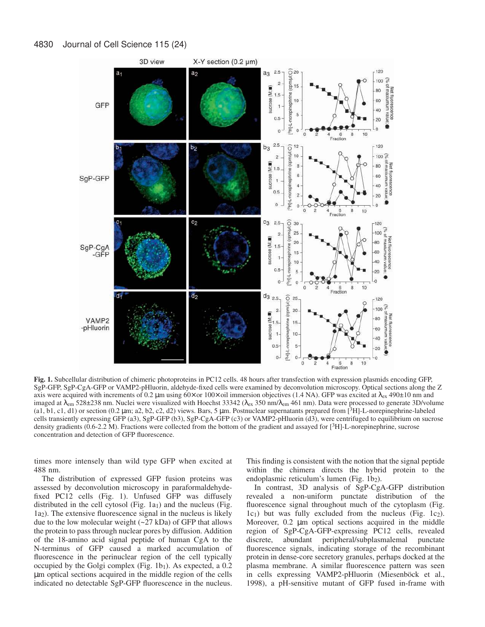

**Fig. 1.** Subcellular distribution of chimeric photoproteins in PC12 cells. 48 hours after transfection with expression plasmids encoding GFP, SgP-GFP, SgP-CgA-GFP or VAMP2-pHluorin, aldehyde-fixed cells were examined by deconvolution microscopy. Optical sections along the Z axis were acquired with increments of 0.2  $\mu$ m using 60× or 100× oil immersion objectives (1.4 NA). GFP was excited at  $\lambda$ <sub>ex</sub> 490±10 nm and imaged at  $\lambda_{\rm em}$  528±238 nm. Nuclei were visualized with Hoechst 33342 ( $\lambda_{\rm ex}$  350 nm/ $\lambda_{\rm em}$  461 nm). Data were processed to generate 3D/volume (a1, b1, c1, d1) or section (0.2 µm; a2, b2, c2, d2) views. Bars, 5 µm. Postnuclear supernatants prepared from [3H]-L-norepinephrine-labeled cells transiently expressing GFP (a3), SgP-GFP (b3), SgP-CgA-GFP (c3) or VAMP2-pHluorin (d3), were centrifuged to equilibrium on sucrose density gradients (0.6-2.2 M). Fractions were collected from the bottom of the gradient and assayed for [<sup>3</sup>H]-L-norepinephrine, sucrose concentration and detection of GFP fluorescence.

times more intensely than wild type GFP when excited at 488 nm.

The distribution of expressed GFP fusion proteins was assessed by deconvolution microscopy in paraformaldehydefixed PC12 cells (Fig. 1). Unfused GFP was diffusely distributed in the cell cytosol (Fig. 1a<sub>1</sub>) and the nucleus (Fig. 1a2). The extensive fluorescence signal in the nucleus is likely due to the low molecular weight  $(-27 kDa)$  of GFP that allows the protein to pass through nuclear pores by diffusion. Addition of the 18-amino acid signal peptide of human CgA to the N-terminus of GFP caused a marked accumulation of fluorescence in the perinuclear region of the cell typically occupied by the Golgi complex (Fig.  $1b_1$ ). As expected, a 0.2 µm optical sections acquired in the middle region of the cells indicated no detectable SgP-GFP fluorescence in the nucleus.

This finding is consistent with the notion that the signal peptide within the chimera directs the hybrid protein to the endoplasmic reticulum's lumen (Fig. 1b<sub>2</sub>).

In contrast, 3D analysis of SgP-CgA-GFP distribution revealed a non-uniform punctate distribution of the fluorescence signal throughout much of the cytoplasm (Fig.  $1c_1$ ) but was fully excluded from the nucleus (Fig.  $1c_2$ ). Moreover, 0.2  $\mu$ m optical sections acquired in the middle region of SgP-CgA-GFP-expressing PC12 cells, revealed discrete, abundant peripheral/subplasmalemal punctate fluorescence signals, indicating storage of the recombinant protein in dense-core secretory granules, perhaps docked at the plasma membrane. A similar fluorescence pattern was seen in cells expressing VAMP2-pHluorin (Miesenböck et al., 1998), a pH-sensitive mutant of GFP fused in-frame with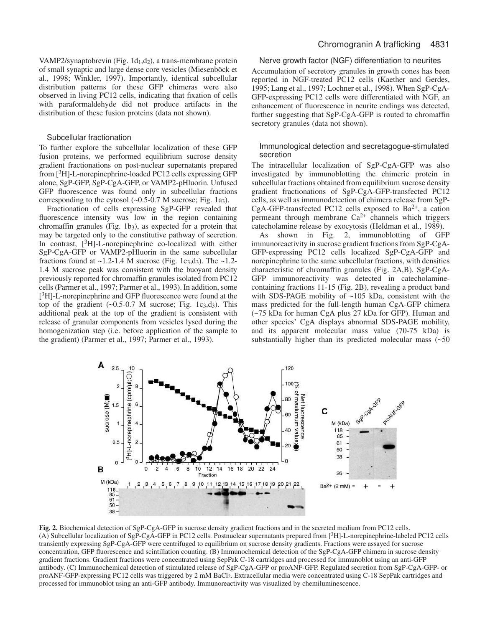VAMP2/synaptobrevin (Fig. 1d<sub>1</sub>,d<sub>2</sub>), a trans-membrane protein of small synaptic and large dense core vesicles (Miesenböck et al., 1998; Winkler, 1997). Importantly, identical subcellular distribution patterns for these GFP chimeras were also observed in living PC12 cells, indicating that fixation of cells with paraformaldehyde did not produce artifacts in the distribution of these fusion proteins (data not shown).

### Subcellular fractionation

To further explore the subcellular localization of these GFP fusion proteins, we performed equilibrium sucrose density gradient fractionations on post-nuclear supernatants prepared from [3H]-L-norepinephrine-loaded PC12 cells expressing GFP alone, SgP-GFP, SgP-CgA-GFP, or VAMP2-pHluorin. Unfused GFP fluorescence was found only in subcellular fractions corresponding to the cytosol (~0.5-0.7 M sucrose; Fig. 1a3).

Fractionation of cells expressing SgP-GFP revealed that fluorescence intensity was low in the region containing chromaffin granules (Fig. 1b3), as expected for a protein that may be targeted only to the constitutive pathway of secretion. In contrast,  $[^{3}H]$ -L-norepinephrine co-localized with either SgP-CgA-GFP or VAMP2-pHluorin in the same subcellular fractions found at  $\sim$ 1.2-1.4 M sucrose (Fig. 1c<sub>3</sub>,d<sub>3</sub>). The  $\sim$ 1.2-1.4 M sucrose peak was consistent with the buoyant density previously reported for chromaffin granules isolated from PC12 cells (Parmer et al., 1997; Parmer et al., 1993). In addition, some [<sup>3</sup>H]-L-norepinephrine and GFP fluorescence were found at the top of the gradient  $(-0.5-0.7 \text{ M} \text{ sucrose}; \text{Fig. 1c3,d3}).$  This additional peak at the top of the gradient is consistent with release of granular components from vesicles lysed during the homogenization step (i.e. before application of the sample to the gradient) (Parmer et al., 1997; Parmer et al., 1993).

# Chromogranin A trafficking 4831

Nerve growth factor (NGF) differentiation to neurites

Accumulation of secretory granules in growth cones has been reported in NGF-treated PC12 cells (Kaether and Gerdes, 1995; Lang et al., 1997; Lochner et al., 1998). When SgP-CgA-GFP-expressing PC12 cells were differentiated with NGF, an enhancement of fluorescence in neurite endings was detected, further suggesting that SgP-CgA-GFP is routed to chromaffin secretory granules (data not shown).

# Immunological detection and secretagogue-stimulated secretion

The intracellular localization of SgP-CgA-GFP was also investigated by immunoblotting the chimeric protein in subcellular fractions obtained from equilibrium sucrose density gradient fractionations of SgP-CgA-GFP-transfected PC12 cells, as well as immunodetection of chimera release from SgP-CgA-GFP-transfected PC12 cells exposed to Ba<sup>2+</sup>, a cation permeant through membrane  $Ca^{2+}$  channels which triggers catecholamine release by exocytosis (Heldman et al., 1989).

As shown in Fig. 2, immunoblotting of GFP immunoreactivity in sucrose gradient fractions from SgP-CgA-GFP-expressing PC12 cells localized SgP-CgA-GFP and norepinephrine to the same subcellular fractions, with densities characteristic of chromaffin granules (Fig. 2A,B). SgP-CgA-GFP immunoreactivity was detected in catecholaminecontaining fractions 11-15 (Fig. 2B), revealing a product band with SDS-PAGE mobility of ~105 kDa, consistent with the mass predicted for the full-length human CgA-GFP chimera (~75 kDa for human CgA plus 27 kDa for GFP). Human and other species' CgA displays abnormal SDS-PAGE mobility, and its apparent molecular mass value (70-75 kDa) is substantially higher than its predicted molecular mass  $($  -50



**Fig. 2.** Biochemical detection of SgP-CgA-GFP in sucrose density gradient fractions and in the secreted medium from PC12 cells. (A) Subcellular localization of SgP-CgA-GFP in PC12 cells. Postnuclear supernatants prepared from [3H]-L-norepinephrine-labeled PC12 cells transiently expressing SgP-CgA-GFP were centrifuged to equilibrium on sucrose density gradients. Fractions were assayed for sucrose concentration, GFP fluorescence and scintillation counting. (B) Immunochemical detection of the SgP-CgA-GFP chimera in sucrose density gradient fractions. Gradient fractions were concentrated using SepPak C-18 cartridges and processed for immunoblot using an anti-GFP antibody. (C) Immunochemical detection of stimulated release of SgP-CgA-GFP or proANF-GFP. Regulated secretion from SgP-CgA-GFP- or proANF-GFP-expressing PC12 cells was triggered by 2 mM BaCl2. Extracellular media were concentrated using C-18 SepPak cartridges and processed for immunoblot using an anti-GFP antibody. Immunoreactivity was visualized by chemiluminescence.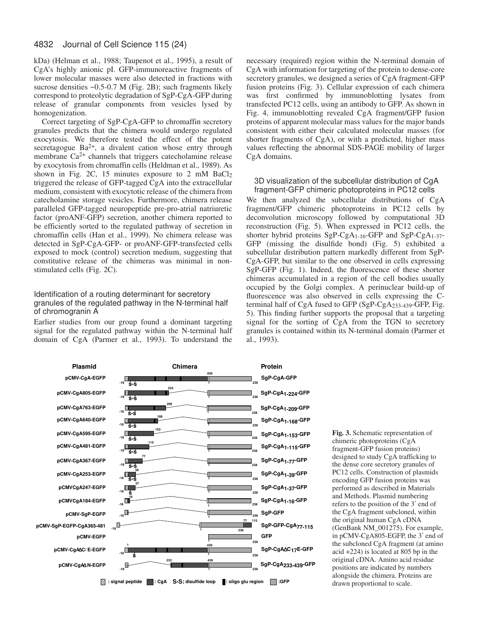kDa) (Helman et al., 1988; Taupenot et al., 1995), a result of CgA's highly anionic pI. GFP-immunoreactive fragments of lower molecular masses were also detected in fractions with sucrose densities ~0.5-0.7 M (Fig. 2B); such fragments likely correspond to proteolytic degradation of SgP-CgA-GFP during release of granular components from vesicles lysed by homogenization.

Correct targeting of SgP-CgA-GFP to chromaffin secretory granules predicts that the chimera would undergo regulated exocytosis. We therefore tested the effect of the potent secretagogue  $Ba^{2+}$ , a divalent cation whose entry through membrane Ca<sup>2+</sup> channels that triggers catecholamine release by exocytosis from chromaffin cells (Heldman et al., 1989). As shown in Fig. 2C, 15 minutes exposure to 2 mM BaCl2 triggered the release of GFP-tagged CgA into the extracellular medium, consistent with exocytotic release of the chimera from catecholamine storage vesicles. Furthermore, chimera release paralleled GFP-tagged neuropeptide pre-pro-atrial natriuretic factor (proANF-GFP) secretion, another chimera reported to be efficiently sorted to the regulated pathway of secretion in chromaffin cells (Han et al., 1999). No chimera release was detected in SgP-CgA-GFP- or proANF-GFP-transfected cells exposed to mock (control) secretion medium, suggesting that constitutive release of the chimeras was minimal in nonstimulated cells (Fig. 2C).

# Identification of a routing determinant for secretory granules of the regulated pathway in the N-terminal half of chromogranin A

Earlier studies from our group found a dominant targeting signal for the regulated pathway within the N-terminal half domain of CgA (Parmer et al., 1993). To understand the necessary (required) region within the N-terminal domain of CgA with information for targeting of the protein to dense-core secretory granules, we designed a series of CgA fragment-GFP fusion proteins (Fig. 3). Cellular expression of each chimera was first confirmed by immunoblotting lysates from transfected PC12 cells, using an antibody to GFP. As shown in Fig. 4, immunoblotting revealed CgA fragment/GFP fusion proteins of apparent molecular mass values for the major bands consistent with either their calculated molecular masses (for shorter fragments of CgA), or with a predicted, higher mass values reflecting the abnormal SDS-PAGE mobility of larger CgA domains.

### 3D visualization of the subcellular distribution of CgA fragment-GFP chimeric photoproteins in PC12 cells

We then analyzed the subcellular distributions of CgA fragment/GFP chimeric photoproteins in PC12 cells by deconvolution microscopy followed by computational 3D reconstruction (Fig. 5). When expressed in PC12 cells, the shorter hybrid proteins SgP-CgA1-16-GFP and SgP-CgA1-37- GFP (missing the disulfide bond) (Fig. 5) exhibited a subcellular distribution pattern markedly different from SgP-CgA-GFP, but similar to the one observed in cells expressing SgP-GFP (Fig. 1). Indeed, the fluorescence of these shorter chimeras accumulated in a region of the cell bodies usually occupied by the Golgi complex. A perinuclear build-up of fluorescence was also observed in cells expressing the Cterminal half of CgA fused to GFP (SgP-CgA233-439-GFP, Fig. 5). This finding further supports the proposal that a targeting signal for the sorting of CgA from the TGN to secretory granules is contained within its N-terminal domain (Parmer et al., 1993).



**Fig. 3.** Schematic representation of chimeric photoproteins (CgA fragment-GFP fusion proteins) designed to study CgA trafficking to the dense core secretory granules of PC12 cells. Construction of plasmids encoding GFP fusion proteins was performed as described in Materials and Methods. Plasmid numbering refers to the position of the 3′ end of the CgA fragment subcloned, within the original human CgA cDNA (GenBank NM\_001275). For example, in pCMV-CgA805-EGFP, the 3′ end of the subcloned CgA fragment (at amino acid +224) is located at 805 bp in the original cDNA. Amino acid residue positions are indicated by numbers alongside the chimera. Proteins are drawn proportional to scale.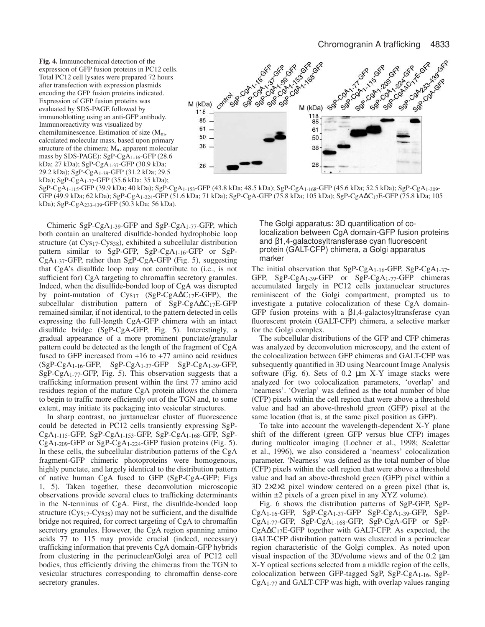**Fig. 4.** Immunochemical detection of the expression of GFP fusion proteins in PC12 cells. Total PC12 cell lysates were prepared 72 hours after transfection with expression plasmids encoding the GFP fusion proteins indicated. Expression of GFP fusion proteins was evaluated by SDS-PAGE followed by immunoblotting using an anti-GFP antibody. Immunoreactivity was visualized by chemiluminescence. Estimation of size  $(M<sub>m</sub>)$ , calculated molecular mass, based upon primary structure of the chimera; Ma, apparent molecular mass by SDS-PAGE): SgP-CgA1-16-GFP (28.6 kDa; 27 kDa); SgP-CgA1-37-GFP (30.9 kDa; 29.2 kDa); SgP-CgA1-39-GFP (31.2 kDa; 29.5 kDa); SgP-CgA1-77-GFP (35.6 kDa; 35 kDa);



SgP-CgA1-115-GFP (39.9 kDa; 40 kDa); SgP-CgA1-153-GFP (43.8 kDa; 48.5 kDa); SgP-CgA1-168-GFP (45.6 kDa; 52.5 kDa); SgP-CgA1-209- GFP (49.9 kDa; 62 kDa); SgP-CgA1-224-GFP (51.6 kDa; 71 kDa); SgP-CgA-GFP (75.8 kDa; 105 kDa); SgP-CgA∆C17E-GFP (75.8 kDa; 105 kDa); SgP-CgA233-439-GFP (50.3 kDa; 56 kDa).

Chimeric SgP-CgA1-39-GFP and SgP-CgA1-77-GFP, which both contain an unaltered disulfide-bonded hydrophobic loop structure (at Cys17-Cys38), exhibited a subcellular distribution pattern similar to SgP-GFP, SgP-CgA1-16-GFP or SgP-CgA1-37-GFP, rather than SgP-CgA-GFP (Fig. 5), suggesting that CgA's disulfide loop may not contribute to (i.e., is not sufficient for) CgA targeting to chromaffin secretory granules. Indeed, when the disulfide-bonded loop of CgA was disrupted by point-mutation of Cys17 (SgP-CgA∆C17E-GFP), the subcellular distribution pattern of SgP-CgA∆C17E-GFP remained similar, if not identical, to the pattern detected in cells expressing the full-length CgA-GFP chimera with an intact disulfide bridge (SgP-CgA-GFP, Fig. 5). Interestingly, a gradual appearance of a more prominent punctate/granular pattern could be detected as the length of the fragment of CgA fused to GFP increased from +16 to +77 amino acid residues  $(SgP-CgA<sub>1-16</sub>-GFP, SgP-CgA<sub>1-37</sub>-GFP SgP-CgA<sub>1-39</sub>-GFP,$ SgP-CgA1-77-GFP, Fig. 5). This observation suggests that a trafficking information present within the first 77 amino acid residues region of the mature CgA protein allows the chimera to begin to traffic more efficiently out of the TGN and, to some extent, may initiate its packaging into vesicular structures.

In sharp contrast, no juxtanuclear cluster of fluorescence could be detected in PC12 cells transiently expressing SgP-CgA1-115-GFP, SgP-CgA1-153-GFP, SgP-CgA1-168-GFP, SgP-CgA1-209-GFP or SgP-CgA1-224-GFP fusion proteins (Fig. 5). In these cells, the subcellular distribution patterns of the CgA fragment-GFP chimeric photoproteins were homogenous, highly punctate, and largely identical to the distribution pattern of native human CgA fused to GFP (SgP-CgA-GFP; Figs 1, 5). Taken together, these deconvolution microscopic observations provide several clues to trafficking determinants in the N-terminus of CgA. First, the disulfide-bonded loop structure (Cys17-Cys38) may not be sufficient, and the disulfide bridge not required, for correct targeting of CgA to chromaffin secretory granules. However, the CgA region spanning amino acids 77 to 115 may provide crucial (indeed, necessary) trafficking information that prevents CgA domain-GFP hybrids from clustering in the perinuclear/Golgi area of PC12 cell bodies, thus efficiently driving the chimeras from the TGN to vesicular structures corresponding to chromaffin dense-core secretory granules.

The Golgi apparatus: 3D quantification of colocalization between CgA domain-GFP fusion proteins and β1,4-galactosyltransferase cyan fluorescent protein (GALT-CFP) chimera, a Golgi apparatus marker

The initial observation that SgP-CgA1-16-GFP, SgP-CgA1-37- GFP, SgP-CgA1-39-GFP or SgP-CgA1-77-GFP chimeras accumulated largely in PC12 cells juxtanuclear structures reminiscent of the Golgi compartment, prompted us to investigate a putative colocalization of these CgA domain-GFP fusion proteins with a β1,4-galactosyltransferase cyan fluorescent protein (GALT-CFP) chimera, a selective marker for the Golgi complex.

The subcellular distributions of the GFP and CFP chimeras was analyzed by deconvolution microscopy, and the extent of the colocalization between GFP chimeras and GALT-CFP was subsequently quantified in 3D using Nearcount Image Analysis software (Fig.  $6$ ). Sets of 0.2  $\mu$ m X-Y image stacks were analyzed for two colocalization parameters, 'overlap' and 'nearness'. 'Overlap' was defined as the total number of blue (CFP) pixels within the cell region that were above a threshold value and had an above-threshold green (GFP) pixel at the same location (that is, at the same pixel position as GFP).

To take into account the wavelength-dependent X-Y plane shift of the different (green GFP versus blue CFP) images during multicolor imaging (Lochner et al., 1998; Scalettar et al., 1996), we also considered a 'nearness' colocalization parameter. 'Nearness' was defined as the total number of blue (CFP) pixels within the cell region that were above a threshold value and had an above-threshold green (GFP) pixel within a 3D 2×2×2 pixel window centered on a green pixel (that is, within ±2 pixels of a green pixel in any XYZ volume).

Fig. 6 shows the distribution patterns of SgP-GFP, SgP-CgA1-16-GFP, SgP-CgA1-37-GFP SgP-CgA1-39-GFP, SgP-CgA1-77-GFP, SgP-CgA1-168-GFP, SgP-CgA-GFP or SgP-CgA∆C17E-GFP together with GALT-CFP. As expected, the GALT-CFP distribution pattern was clustered in a perinuclear region characteristic of the Golgi complex. As noted upon visual inspection of the 3D/volume views and of the 0.2 µm X-Y optical sections selected from a middle region of the cells, colocalization between GFP-tagged SgP, SgP-CgA1-16, SgP-CgA1-77 and GALT-CFP was high, with overlap values ranging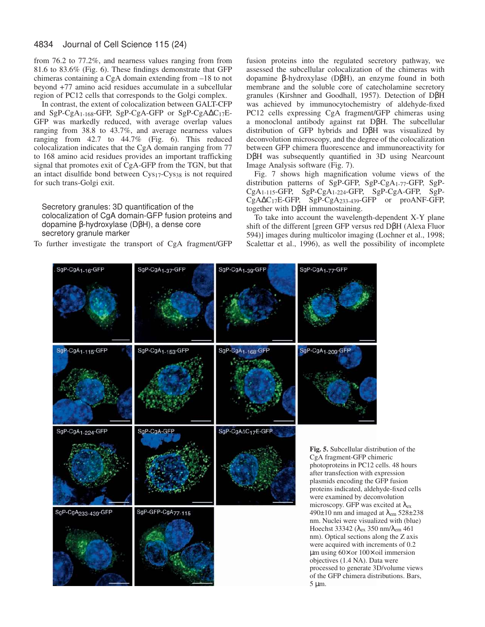from 76.2 to 77.2%, and nearness values ranging from from 81.6 to 83.6% (Fig. 6). These findings demonstrate that GFP chimeras containing a CgA domain extending from –18 to not beyond +77 amino acid residues accumulate in a subcellular region of PC12 cells that corresponds to the Golgi complex.

In contrast, the extent of colocalization between GALT-CFP and SgP-CgA1-168-GFP, SgP-CgA-GFP or SgP-CgA∆C17E-GFP was markedly reduced, with average overlap values ranging from 38.8 to 43.7%, and average nearness values ranging from 42.7 to 44.7% (Fig. 6). This reduced colocalization indicates that the CgA domain ranging from 77 to 168 amino acid residues provides an important trafficking signal that promotes exit of CgA-GFP from the TGN, but that an intact disulfide bond between Cys17-Cys38 is not required for such trans-Golgi exit.

Secretory granules: 3D quantification of the colocalization of CgA domain-GFP fusion proteins and dopamine β-hydroxylase (DβH), a dense core secretory granule marker

To further investigate the transport of CgA fragment/GFP

fusion proteins into the regulated secretory pathway, we assessed the subcellular colocalization of the chimeras with dopamine β-hydroxylase (DβH), an enzyme found in both membrane and the soluble core of catecholamine secretory granules (Kirshner and Goodhall, 1957). Detection of DβH was achieved by immunocytochemistry of aldehyde-fixed PC12 cells expressing CgA fragment/GFP chimeras using a monoclonal antibody against rat DβH. The subcellular distribution of GFP hybrids and DβH was visualized by deconvolution microscopy, and the degree of the colocalization between GFP chimera fluorescence and immunoreactivity for DβH was subsequently quantified in 3D using Nearcount Image Analysis software (Fig. 7).

Fig. 7 shows high magnification volume views of the distribution patterns of SgP-GFP, SgP-CgA1-77-GFP, SgP-CgA1-115-GFP, SgP-CgA1-224-GFP, SgP-CgA-GFP, SgP-CgA∆C17E-GFP, SgP-CgA233-439-GFP or proANF-GFP, together with DβH immunostaining.

To take into account the wavelength-dependent X-Y plane shift of the different [green GFP versus red DβH (Alexa Fluor 594)] images during multicolor imaging (Lochner et al., 1998; Scalettar et al., 1996), as well the possibility of incomplete

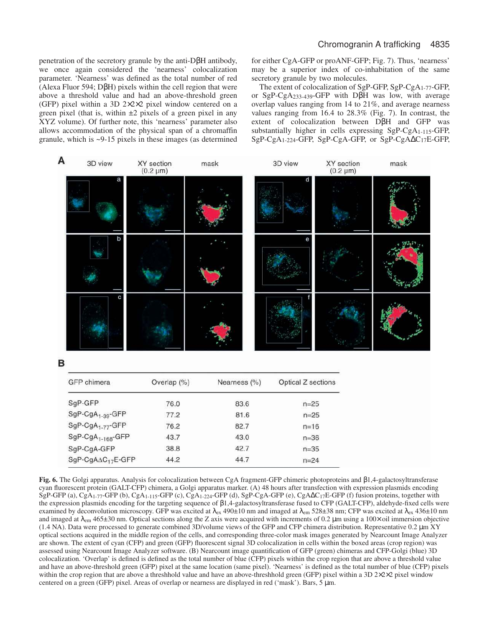penetration of the secretory granule by the anti-DβH antibody, we once again considered the 'nearness' colocalization parameter. 'Nearness' was defined as the total number of red (Alexa Fluor 594; DβH) pixels within the cell region that were above a threshold value and had an above-threshold green (GFP) pixel within a 3D 2×2×2 pixel window centered on a green pixel (that is, within  $\pm 2$  pixels of a green pixel in any XYZ volume). Of further note, this 'nearness' parameter also allows accommodation of the physical span of a chromaffin granule, which is ~9-15 pixels in these images (as determined

SgP-CgA-GFP

SgP-CgAAC<sub>17</sub>E-GFP

38.8

44.2

for either CgA-GFP or proANF-GFP; Fig. 7). Thus, 'nearness' may be a superior index of co-inhabitation of the same secretory granule by two molecules.

The extent of colocalization of SgP-GFP, SgP-CgA1-77-GFP, or SgP-CgA233-439-GFP with DβH was low, with average overlap values ranging from 14 to 21%, and average nearness values ranging from 16.4 to 28.3% (Fig. 7). In contrast, the extent of colocalization between DβH and GFP was substantially higher in cells expressing SgP-CgA1-115-GFP, SgP-CgA1-224-GFP, SgP-CgA-GFP, or SgP-CgA∆C17E-GFP,



**Fig. 6.** The Golgi apparatus. Analysis for colocalization between CgA fragment-GFP chimeric photoproteins and β1,4-galactosyltransferase cyan fluorescent protein (GALT-CFP) chimera, a Golgi apparatus marker. (A) 48 hours after transfection with expression plasmids encoding SgP-GFP (a), CgA<sub>1-77</sub>-GFP (b), CgA<sub>1-115</sub>-GFP (c), CgA<sub>1-224</sub>-GFP (d), SgP-CgA-GFP (e), CgAΔC<sub>17</sub>E-GFP (f) fusion proteins, together with the expression plasmids encoding for the targeting sequence of β1,4-galactosyltransferase fused to CFP (GALT-CFP), aldehyde-fixed cells were examined by deconvolution microscopy. GFP was excited at  $\lambda_{\rm ex}$  490±10 nm and imaged at  $\lambda_{\rm em}$  528±38 nm; CFP was excited at  $\lambda_{\rm ex}$  436±10 nm and imaged at  $\lambda_{\rm em}$  465±30 nm. Optical sections along the Z axis were acquired with increments of 0.2 µm using a 100× oil immersion objective (1.4 NA). Data were processed to generate combined 3D/volume views of the GFP and CFP chimera distribution. Representative 0.2 µm XY optical sections acquired in the middle region of the cells, and corresponding three-color mask images generated by Nearcount Image Analyzer are shown. The extent of cyan (CFP) and green (GFP) fluorescent signal 3D colocalization in cells within the boxed areas (crop region) was assessed using Nearcount Image Analyzer software. (B) Nearcount image quantification of GFP (green) chimeras and CFP-Golgi (blue) 3D colocalization. 'Overlap' is defined is defined as the total number of blue (CFP) pixels within the crop region that are above a threshold value and have an above-threshold green (GFP) pixel at the same location (same pixel). 'Nearness' is defined as the total number of blue (CFP) pixels within the crop region that are above a threshhold value and have an above-threshhold green (GFP) pixel within a 3D 2×2×2 pixel window centered on a green (GFP) pixel. Areas of overlap or nearness are displayed in red ('mask'). Bars, 5 µm.

42.7

44.7

 $n = 35$ 

 $n = 24$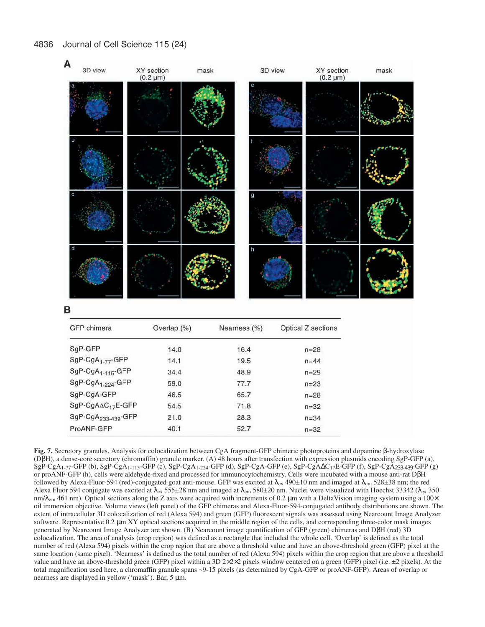

в

| GFP chimera                     | Overlap (%) | Nearness (%) | Optical Z sections |
|---------------------------------|-------------|--------------|--------------------|
| SqP-GFP                         | 14.0        | 16.4         | $n = 28$           |
| SgP-CgA <sub>1-77</sub> -GFP    | 14.1        | 19.5         | $n = 44$           |
| SgP-CgA <sub>1-115</sub> -GFP   | 34.4        | 48.9         | $n = 29$           |
| SgP-CgA <sub>1-224</sub> -GFP   | 59.0        | 77.7         | $n = 23$           |
| SgP-CgA-GFP                     | 46.5        | 65.7         | $n = 28$           |
| SgP-CgAAC <sub>17</sub> E-GFP   | 54.5        | 71.8         | $n = 32$           |
| SgP-CgA <sub>233-439</sub> -GFP | 21.0        | 28.3         | $n = 34$           |
| ProANF-GFP                      | 40.1        | 52.7         | $n = 32$           |

**Fig. 7.** Secretory granules. Analysis for colocalization between CgA fragment-GFP chimeric photoproteins and dopamine β-hydroxylase (DβH), a dense-core secretory (chromaffin) granule marker. (A) 48 hours after transfection with expression plasmids encoding SgP-GFP (a), SgP-CgA1-77-GFP (b), SgP-CgA1-115-GFP (c), SgP-CgA1-224-GFP (d), SgP-CgA-GFP (e), SgP-CgA∆C17E-GFP (f), SgP-CgA233-439-GFP (g) or proANF-GFP (h), cells were aldehyde-fixed and processed for immunocytochemistry. Cells were incubated with a mouse anti-rat DβH followed by Alexa-Fluor-594 (red)-conjugated goat anti-mouse. GFP was excited at  $\lambda_{ex}$  490±10 nm and imaged at  $\lambda_{em}$  528±38 nm; the red Alexa Fluor 594 conjugate was excited at  $\lambda_{\text{ex}}$  555±28 nm and imaged at  $\lambda_{\text{em}}$  580±20 nm. Nuclei were visualized with Hoechst 33342 ( $\lambda_{\text{ex}}$  350  $nm/\lambda_{\rm em}$  461 nm). Optical sections along the Z axis were acquired with increments of 0.2 µm with a DeltaVision imaging system using a 100 $\times$ oil immersion objective. Volume views (left panel) of the GFP chimeras and Alexa-Fluor-594-conjugated antibody distributions are shown. The extent of intracellular 3D colocalization of red (Alexa 594) and green (GFP) fluorescent signals was assessed using Nearcount Image Analyzer software. Representative 0.2  $\mu$ m XY optical sections acquired in the middle region of the cells, and corresponding three-color mask images generated by Nearcount Image Analyzer are shown. (B) Nearcount image quantification of GFP (green) chimeras and DβH (red) 3D colocalization. The area of analysis (crop region) was defined as a rectangle that included the whole cell. 'Overlap' is defined as the total number of red (Alexa 594) pixels within the crop region that are above a threshold value and have an above-threshold green (GFP) pixel at the same location (same pixel). 'Nearness' is defined as the total number of red (Alexa 594) pixels within the crop region that are above a threshold value and have an above-threshold green (GFP) pixel within a 3D 2×2×2 pixels window centered on a green (GFP) pixel (i.e. ±2 pixels). At the total magnification used here, a chromaffin granule spans ~9-15 pixels (as determined by CgA-GFP or proANF-GFP). Areas of overlap or nearness are displayed in yellow ('mask'). Bar, 5 µm.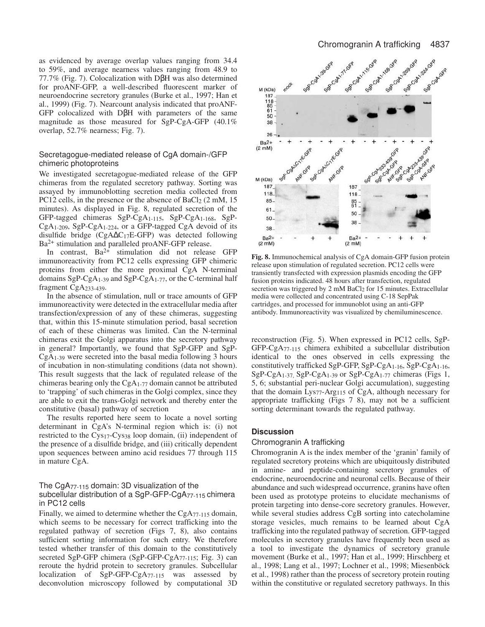as evidenced by average overlap values ranging from 34.4 to 59%, and average nearness values ranging from 48.9 to 77.7% (Fig. 7). Colocalization with DβH was also determined for proANF-GFP, a well-described fluorescent marker of neuroendocrine secretory granules (Burke et al., 1997; Han et al., 1999) (Fig. 7). Nearcount analysis indicated that proANF-GFP colocalized with DβH with parameters of the same magnitude as those measured for SgP-CgA-GFP (40.1% overlap, 52.7% nearness; Fig. 7).

# Secretagogue-mediated release of CgA domain-/GFP chimeric photoproteins

We investigated secretagogue-mediated release of the GFP chimeras from the regulated secretory pathway. Sorting was assayed by immunoblotting secretion media collected from PC12 cells, in the presence or the absence of BaCl<sub>2</sub> (2 mM, 15) minutes). As displayed in Fig. 8, regulated secretion of the GFP-tagged chimeras SgP-CgA1-115, SgP-CgA1-168, SgP-CgA1-209, SgP-CgA1-224, or a GFP-tagged CgA devoid of its disulfide bridge (CgA∆C17E-GFP) was detected following Ba<sup>2+</sup> stimulation and paralleled proANF-GFP release.

In contrast,  $Ba^{2+}$  stimulation did not release GFP immunoreactivity from PC12 cells expressing GFP chimeric proteins from either the more proximal CgA N-terminal domains SgP-CgA1-39 and SgP-CgA1-77, or the C-terminal half fragment CgA233-439.

In the absence of stimulation, null or trace amounts of GFP immunoreactivity were detected in the extracellular media after transfection/expression of any of these chimeras, suggesting that, within this 15-minute stimulation period, basal secretion of each of these chimeras was limited. Can the N-terminal chimeras exit the Golgi apparatus into the secretory pathway in general? Importantly, we found that SgP-GFP and SgP-CgA1-39 were secreted into the basal media following 3 hours of incubation in non-stimulating conditions (data not shown). This result suggests that the lack of regulated release of the chimeras bearing only the CgA1-77 domain cannot be attributed to 'trapping' of such chimeras in the Golgi complex, since they are able to exit the trans-Golgi network and thereby enter the constitutive (basal) pathway of secretion

The results reported here seem to locate a novel sorting determinant in CgA's N-terminal region which is: (i) not restricted to the Cys17-Cys38 loop domain, (ii) independent of the presence of a disulfide bridge, and (iii) critically dependent upon sequences between amino acid residues 77 through 115 in mature CgA.

# The CgA77-115 domain: 3D visualization of the subcellular distribution of a SgP-GFP-CgA77-115 chimera in PC12 cells

Finally, we aimed to determine whether the CgA77-115 domain, which seems to be necessary for correct trafficking into the regulated pathway of secretion (Figs 7, 8), also contains sufficient sorting information for such entry. We therefore tested whether transfer of this domain to the constitutively secreted SgP-GFP chimera (SgP-GFP-CgA77-115; Fig. 3) can reroute the hydrid protein to secretory granules. Subcellular localization of SgP-GFP-CgA77-115 was assessed by deconvolution microscopy followed by computational 3D



**Fig. 8.** Immunochemical analysis of CgA domain-GFP fusion protein release upon stimulation of regulated secretion. PC12 cells were transiently transfected with expression plasmids encoding the GFP fusion proteins indicated. 48 hours after transfection, regulated secretion was triggered by 2 mM BaCl<sub>2</sub> for 15 minutes. Extracellular media were collected and concentrated using C-18 SepPak cartridges, and processed for immunoblot using an anti-GFP antibody. Immunoreactivity was visualized by chemiluminescence.

reconstruction (Fig. 5). When expressed in PC12 cells, SgP-GFP-CgA77-115 chimera exhibited a subcellular distribution identical to the ones observed in cells expressing the constitutively trafficked SgP-GFP, SgP-CgA1-16, SgP-CgA1-16, SgP-CgA1-37, SgP-CgA1-39 or SgP-CgA1-77 chimeras (Figs 1, 5, 6; substantial peri-nuclear Golgi accumulation), suggesting that the domain Lys77-Arg115 of CgA, although necessary for appropriate trafficking (Figs 7 8), may not be a sufficient sorting determinant towards the regulated pathway.

# **Discussion**

### Chromogranin A trafficking

Chromogranin A is the index member of the 'granin' family of regulated secretory proteins which are ubiquitously distributed in amine- and peptide-containing secretory granules of endocrine, neuroendocrine and neuronal cells. Because of their abundance and such widespread occurrence, granins have often been used as prototype proteins to elucidate mechanisms of protein targeting into dense-core secretory granules. However, while several studies address CgB sorting into cate cholamine storage vesicles, much remains to be learned about CgA trafficking into the regulated pathway of secretion. GFP-tagged molecules in secretory granules have frequently been used as a tool to investigate the dynamics of secretory granule movement (Burke et al., 1997; Han et al., 1999; Hirschberg et al., 1998; Lang et al., 1997; Lochner et al., 1998; Miesenböck et al., 1998) rather than the process of secretory protein routing within the constitutive or regulated secretory pathways. In this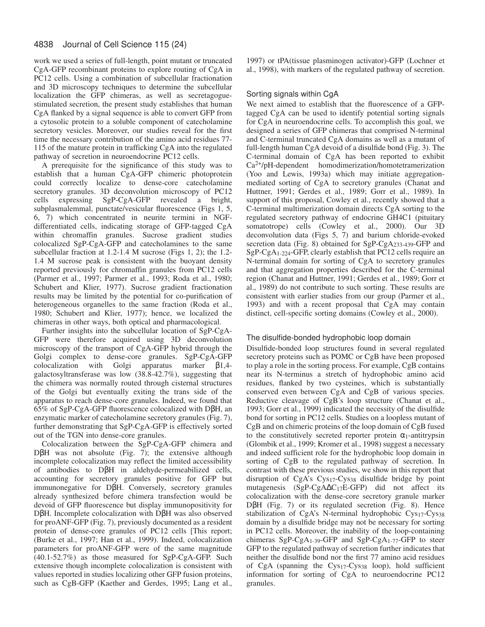work we used a series of full-length, point mutant or truncated CgA-GFP recombinant proteins to explore routing of CgA in PC12 cells. Using a combination of subcellular fractionation and 3D microscopy techniques to determine the subcellular localization the GFP chimeras, as well as secretagoguestimulated secretion, the present study establishes that human CgA flanked by a signal sequence is able to convert GFP from a cytosolic protein to a soluble component of catecholamine secretory vesicles. Moreover, our studies reveal for the first time the necessary contribution of the amino acid residues 77- 115 of the mature protein in trafficking CgA into the regulated pathway of secretion in neuroendocrine PC12 cells.

A prerequisite for the significance of this study was to establish that a human CgA-GFP chimeric photoprotein could correctly localize to dense-core catecholamine secretory granules. 3D deconvolution microscopy of PC12 cells expressing SgP-CgA-GFP revealed a bright, subplasmalemmal, punctate/vesicular fluorescence (Figs 1, 5, 6, 7) which concentrated in neurite termini in NGFdifferentiated cells, indicating storage of GFP-tagged CgA within chromaffin granules. Sucrose gradient studies colocalized SgP-CgA-GFP and catecholamines to the same subcellular fraction at 1.2-1.4 M sucrose (Figs 1, 2); the 1.2- 1.4 M sucrose peak is consistent with the buoyant density reported previously for chromaffin granules from PC12 cells (Parmer et al., 1997; Parmer et al., 1993; Roda et al., 1980; Schubert and Klier, 1977). Sucrose gradient fractionation results may be limited by the potential for co-purification of heterogeneous organelles to the same fraction (Roda et al., 1980; Schubert and Klier, 1977); hence, we localized the chimeras in other ways, both optical and pharmacological.

Further insights into the subcellular location of SgP-CgA-GFP were therefore acquired using 3D deconvolution microscopy of the transport of CgA-GFP hybrid through the Golgi complex to dense-core granules. SgP-CgA-GFP colocalization with Golgi apparatus marker β1,4 galactosyltransferase was low (38.8-42.7%), suggesting that the chimera was normally routed through cisternal structures of the Golgi but eventually exiting the trans side of the apparatus to reach dense-core granules. Indeed, we found that 65% of SgP-CgA-GFP fluorescence colocalized with DβH, an enzymatic marker of catecholamine secretory granules (Fig. 7), further demonstrating that SgP-CgA-GFP is effectively sorted out of the TGN into dense-core granules.

Colocalization between the SgP-CgA-GFP chimera and DβH was not absolute (Fig. 7); the extensive although incomplete colocalization may reflect the limited accessibility of antibodies to DβH in aldehyde-permeabilized cells, accounting for secretory granules positive for GFP but immunonegative for DβH. Conversely, secretory granules already synthesized before chimera transfection would be devoid of GFP fluorescence but display immunopositivity for DβH. Incomplete colocalization with DβH was also observed for proANF-GFP (Fig. 7), previously documented as a resident protein of dense-core granules of PC12 cells [This report; (Burke et al., 1997; Han et al., 1999). Indeed, colocalization parameters for proANF-GFP were of the same magnitude (40.1-52.7%) as those measured for SgP-CgA-GFP. Such extensive though incomplete colocalization is consistent with values reported in studies localizing other GFP fusion proteins, such as CgB-GFP (Kaether and Gerdes, 1995; Lang et al.,

1997) or tPA(tissue plasminogen activator)-GFP (Lochner et al., 1998), with markers of the regulated pathway of secretion.

# Sorting signals within CgA

We next aimed to establish that the fluorescence of a GFPtagged CgA can be used to identify potential sorting signals for CgA in neuroendocrine cells. To accomplish this goal, we designed a series of GFP chimeras that comprised N-terminal and C-terminal truncated CgA domains as well as a mutant of full-length human CgA devoid of a disulfide bond (Fig. 3). The C-terminal domain of CgA has been reported to exhibit Ca2+/pH-dependent homodimerization/homotetramerization (Yoo and Lewis, 1993a) which may initiate aggregationmediated sorting of CgA to secretory granules (Chanat and Huttner, 1991; Gerdes et al., 1989; Gorr et al., 1989). In support of this proposal, Cowley et al., recently showed that a C-terminal multimerization domain directs CgA sorting to the regulated secretory pathway of endocrine GH4C1 (pituitary somatotrope) cells (Cowley et al., 2000). Our 3D deconvolution data (Figs 5, 7) and barium chloride-evoked secretion data (Fig. 8) obtained for SgP-CgA233-439-GFP and SgP-CgA1-224-GFP, clearly establish that PC12 cells require an N-terminal domain for sorting of CgA to secretory granules and that aggregation properties described for the C-terminal region (Chanat and Huttner, 1991; Gerdes et al., 1989; Gorr et al., 1989) do not contribute to such sorting. These results are consistent with earlier studies from our group (Parmer et al., 1993) and with a recent proposal that CgA may contain distinct, cell-specific sorting domains (Cowley et al., 2000).

# The disulfide-bonded hydrophobic loop domain

Disulfide-bonded loop structures found in several regulated secretory proteins such as POMC or CgB have been proposed to play a role in the sorting process. For example, CgB contains near its N-terminus a stretch of hydrophobic amino acid residues, flanked by two cysteines, which is substantially conserved even between CgA and CgB of various species. Reductive cleavage of CgB's loop structure (Chanat et al., 1993; Gorr et al., 1999) indicated the necessity of the disulfide bond for sorting in PC12 cells. Studies on a loopless mutant of CgB and on chimeric proteins of the loop domain of CgB fused to the constitutively secreted reporter protein  $\alpha_1$ -antitrypsin (Glombik et al., 1999; Kromer et al., 1998) suggest a necessary and indeed sufficient role for the hydrophobic loop domain in sorting of CgB to the regulated pathway of secretion. In contrast with these previous studies, we show in this report that disruption of CgA's Cys17-Cys38 disulfide bridge by point mutagenesis (SgP-CgA∆C17E-GFP) did not affect its colocalization with the dense-core secretory granule marker DβH (Fig. 7) or its regulated secretion (Fig. 8). Hence stabilization of CgA's N-terminal hydrophobic Cys17-Cys38 domain by a disulfide bridge may not be necessary for sorting in PC12 cells. Moreover, the inability of the loop-containing chimeras SgP-CgA1-39-GFP and SgP-CgA1-77-GFP to steer GFP to the regulated pathway of secretion further indicates that neither the disulfide bond nor the first 77 amino acid residues of CgA (spanning the Cys17-Cys38 loop), hold sufficient information for sorting of CgA to neuroendocrine PC12 granules.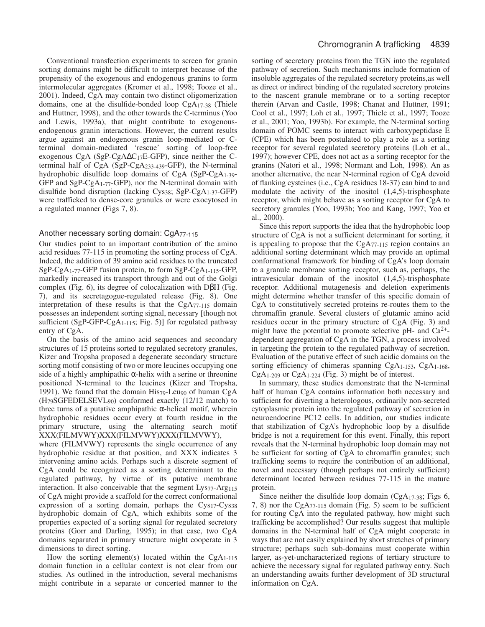Conventional transfection experiments to screen for granin sorting domains might be difficult to interpret because of the propensity of the exogenous and endogenous granins to form intermolecular aggregates (Kromer et al., 1998; Tooze et al., 2001). Indeed, CgA may contain two distinct oligomerization domains, one at the disulfide-bonded loop CgA17-38 (Thiele and Huttner, 1998), and the other towards the C-terminus (Yoo and Lewis, 1993a), that might contribute to exogenousendogenous granin interactions. However, the current results argue against an endogenous granin loop-mediated or Cterminal domain-mediated 'rescue' sorting of loop-free exogenous CgA (SgP-CgA∆C17E-GFP), since neither the Cterminal half of CgA (SgP-CgA233-439-GFP), the N-terminal hydrophobic disulfide loop domains of CgA (SgP-CgA1-39- GFP and SgP-CgA1-77-GFP), nor the N-terminal domain with disulfide bond disruption (lacking Cys38; SgP-CgA1-37-GFP) were trafficked to dense-core granules or were exocytosed in a regulated manner (Figs 7, 8).

### Another necessary sorting domain: CgA77-115

Our studies point to an important contribution of the amino acid residues 77-115 in promoting the sorting process of CgA. Indeed, the addition of 39 amino acid residues to the truncated SgP-CgA1-77-GFP fusion protein, to form SgP-CgA1-115-GFP, markedly increased its transport through and out of the Golgi complex (Fig. 6), its degree of colocalization with DβH (Fig. 7), and its secretagogue-regulated release (Fig. 8). One interpretation of these results is that the CgA77-115 domain possesses an independent sorting signal, necessary [though not sufficient (SgP-GFP-CgA<sub>1-115</sub>; Fig. 5)] for regulated pathway entry of CgA.

On the basis of the amino acid sequences and secondary structures of 15 proteins sorted to regulated secretory granules, Kizer and Tropsha proposed a degenerate secondary structure sorting motif consisting of two or more leucines occupying one side of a highly amphipathic  $\alpha$ -helix with a serine or threonine positioned N-terminal to the leucines (Kizer and Tropsha, 1991). We found that the domain His79-Leu90 of human CgA (H79SGFEDELSEVL90) conformed exactly (12/12 match) to three turns of a putative amphipathic α-helical motif, wherein hydrophobic residues occur every at fourth residue in the primary structure, using the alternating search motif XXX(FILMVWY)XXX(FILMVWY)XXX(FILMVWY), where (FILMVWY) represents the single occurrence of any hydrophobic residue at that position, and XXX indicates 3 intervening amino acids. Perhaps such a discrete segment of CgA could be recognized as a sorting determinant to the regulated pathway, by virtue of its putative membrane interaction. It also conceivable that the segment Lys77-Arg115 of CgA might provide a scaffold for the correct conformational expression of a sorting domain, perhaps the Cys<sub>17</sub>-Cys<sub>38</sub> hydrophobic domain of CgA, which exhibits some of the properties expected of a sorting signal for regulated secretory proteins (Gorr and Darling, 1995); in that case, two CgA domains separated in primary structure might cooperate in 3 dimensions to direct sorting.

How the sorting element(s) located within the  $CgA_{1-115}$ domain function in a cellular context is not clear from our studies. As outlined in the introduction, several mechanisms might contribute in a separate or concerted manner to the sorting of secretory proteins from the TGN into the regulated pathway of secretion. Such mechanisms include formation of insoluble aggregates of the regulated secretory proteins,as well as direct or indirect binding of the regulated secretory proteins to the nascent granule membrane or to a sorting receptor therein (Arvan and Castle, 1998; Chanat and Huttner, 1991; Cool et al., 1997; Loh et al., 1997; Thiele et al., 1997; Tooze et al., 2001; Yoo, 1993b). For example, the N-terminal sorting domain of POMC seems to interact with carboxypeptidase E (CPE) which has been postulated to play a role as a sorting receptor for several regulated secretory proteins (Loh et al., 1997); however CPE, does not act as a sorting receptor for the granins (Natori et al., 1998; Normant and Loh, 1998). An as another alternative, the near N-terminal region of CgA devoid of flanking cysteines (i.e., CgA residues 18-37) can bind to and modulate the activity of the inositol  $(1,4,5)$ -trisphosphate receptor, which might behave as a sorting receptor for CgA to secretory granules (Yoo, 1993b; Yoo and Kang, 1997; Yoo et al., 2000).

Since this report supports the idea that the hydrophobic loop structure of CgA is not a sufficient determinant for sorting, it is appealing to propose that the  $CgA_{77-115}$  region contains an additional sorting determinant which may provide an optimal conformational framework for binding of CgA's loop domain to a granule membrane sorting receptor, such as, perhaps, the intravesicular domain of the inositol (1,4,5)-trisphosphate receptor. Additional mutagenesis and deletion experiments might determine whether transfer of this specific domain of CgA to constitutively secreted proteins re-routes them to the chromaffin granule. Several clusters of glutamic amino acid residues occur in the primary structure of CgA (Fig. 3) and might have the potential to promote selective pH- and  $Ca^{2+}$ dependent aggregation of CgA in the TGN, a process involved in targeting the protein to the regulated pathway of secretion. Evaluation of the putative effect of such acidic domains on the sorting efficiency of chimeras spanning CgA<sub>1-153</sub>, CgA<sub>1-168</sub>,  $CgA_{1-209}$  or  $CgA_{1-224}$  (Fig. 3) might be of interest.

In summary, these studies demonstrate that the N-terminal half of human CgA contains information both necessary and sufficient for diverting a heterologous, ordinarily non-secreted cytoplasmic protein into the regulated pathway of secretion in neuroendocrine PC12 cells. In addition, our studies indicate that stabilization of CgA's hydrophobic loop by a disulfide bridge is not a requirement for this event. Finally, this report reveals that the N-terminal hydrophobic loop domain may not be sufficient for sorting of CgA to chromaffin granules; such trafficking seems to require the contribution of an additional, novel and necessary (though perhaps not entirely sufficient) determinant located between residues 77-115 in the mature protein.

Since neither the disulfide loop domain  $(CgA_{17-38};$  Figs 6, 7, 8) nor the CgA77-115 domain (Fig. 5) seem to be sufficient for routing CgA into the regulated pathway, how might such trafficking be accomplished? Our results suggest that multiple domains in the N-terminal half of CgA might cooperate in ways that are not easily explained by short stretches of primary structure; perhaps such sub-domains must cooperate within larger, as-yet-uncharacterized regions of tertiary structure to achieve the necessary signal for regulated pathway entry. Such an understanding awaits further development of 3D structural information on CgA.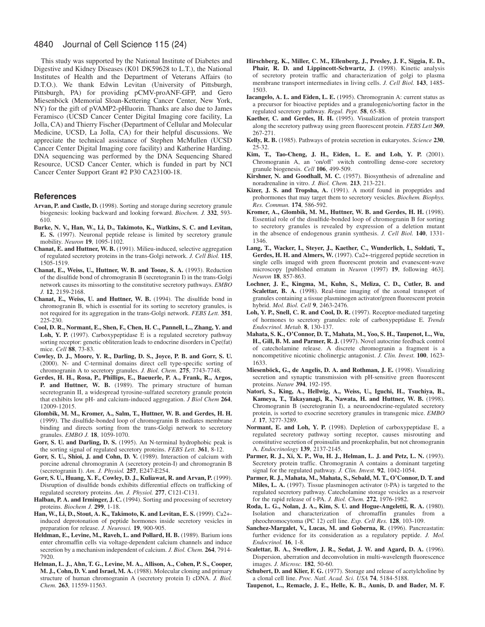This study was supported by the National Institute of Diabetes and Digestive and Kidney Diseases (K01 DK59628 to L.T.), the National Institutes of Health and the Department of Veterans Affairs (to D.T.O.). We thank Edwin Levitan (University of Pittsburgh, Pittsburgh, PA) for providing pCMV-proANF-GFP, and Gero Miesenböck (Memorial Sloan-Kettering Cancer Center, New York, NY) for the gift of pVAMP2-pHluorin. Thanks are also due to James Feramisco (UCSD Cancer Center Digital Imaging core facility, La Jolla, CA) and Thierry Fischer (Department of Cellular and Molecular Medicine, UCSD, La Jolla, CA) for their helpful discussions. We appreciate the technical assistance of Stephen McMullen (UCSD Cancer Center Digital Imaging core facility) and Katherine Harding. DNA sequencing was performed by the DNA Sequencing Shared Resource, UCSD Cancer Center, which is funded in part by NCI Cancer Center Support Grant #2 P30 CA23100-18.

### **References**

- **Arvan, P. and Castle, D.** (1998). Sorting and storage during secretory granule biogenesis: looking backward and looking forward. *Biochem. J.* **332**, 593- 610.
- **Burke, N. V., Han, W., Li, D., Takimoto, K., Watkins, S. C. and Levitan, E. S.** (1997). Neuronal peptide release is limited by secretory granule mobility. *Neuron* **19**, 1095-1102.
- **Chanat, E. and Huttner, W. B.** (1991). Milieu-induced, selective aggregation of regulated secretory proteins in the trans-Golgi network. *J. Cell Biol.* **115**, 1505-1519.
- **Chanat, E., Weiss, U., Huttner, W. B. and Tooze, S. A.** (1993). Reduction of the disulfide bond of chromogranin B (secretogranin I) in the trans-Golgi network causes its missorting to the constitutive secretory pathways. *EMBO J.* **12**, 2159-2168.
- **Chanat, E., Weiss, U. and Huttner, W. B.** (1994). The disulfide bond in chromogranin B, which is essential for its sorting to secretory granules, is not required for its aggregation in the trans-Golgi network. *FEBS Lett.* **351**, 225-230
- **Cool, D. R., Normant, E., Shen, F., Chen, H. C., Pannell, L., Zhang, Y. and Loh, Y. P.** (1997). Carboxypeptidase E is a regulated secretory pathway sorting receptor: genetic obliteration leads to endocrine disorders in Cpe(fat) mice. *Cell* **88**, 73-83.
- **Cowley, D. J., Moore, Y. R., Darling, D. S., Joyce, P. B. and Gorr, S. U.** (2000). N- and C-terminal domains direct cell type-specific sorting of chromogranin A to secretory granules. *J. Biol. Chem.* **275**, 7743-7748.
- **Gerdes, H. H., Rosa, P., Phillips, E., Baeuerle, P. A., Frank, R., Argos, P. and Huttner, W. B.** (1989). The primary structure of human secretogranin II, a widespread tyrosine-sulfated secretory granule protein that exhibits low pH- and calcium-induced aggregation. *J Biol Chem* **264**, 12009-12015.
- **Glombik, M. M., Kromer, A., Salm, T., Huttner, W. B. and Gerdes, H. H.** (1999). The disulfide-bonded loop of chromogranin B mediates membrane binding and directs sorting from the trans-Golgi network to secretory granules. *EMBO J.* **18**, 1059-1070.
- **Gorr, S. U. and Darling, D. S.** (1995). An N-terminal hydrophobic peak is the sorting signal of regulated secretory proteins. *FEBS Lett.* **361**, 8-12.
- **Gorr, S. U., Shioi, J. and Cohn, D. V.** (1989). Interaction of calcium with porcine adrenal chromogranin A (secretory protein-I) and chromogranin B (secretogranin I). *Am. J. Physiol.* **257**, E247-E254.
- **Gorr, S. U., Huang, X. F., Cowley, D. J., Kuliawat, R. and Arvan, P.** (1999). Disruption of disulfide bonds exhibits differential effects on trafficking of regulated secretory proteins. *Am. J. Physiol.* **277**, C121-C131.
- Halban, P. A. and Irminger, J. C. (1994). Sorting and processing of secretory proteins. *Biochem J.* **299**, 1-18.
- **Han, W., Li, D., Stout, A. K., Takimoto, K. and Levitan, E. S.** (1999). Ca2+ induced deprotonation of peptide hormones inside secretory vesicles in preparation for release. *J. Neurosci.* **19**, 900-905.
- Heldman, E., Levine, M., Raveh, L. and Pollard, H. B. (1989). Barium ions enter chromaffin cells via voltage-dependent calcium channels and induce secretion by a mechanism independent of calcium. *J. Biol. Chem.* **264**, 7914- 7920.
- **Helman, L. J., Ahn, T. G., Levine, M. A., Allison, A., Cohen, P. S., Cooper, M. J., Cohn, D. V. and Israel, M. A.** (1988). Molecular cloning and primary structure of human chromogranin A (secretory protein I) cDNA. *J. Biol. Chem.* **263**, 11559-11563.
- **Hirschberg, K., Miller, C. M., Ellenberg, J., Presley, J. F., Siggia, E. D.,** Phair, R. D. and Lippincott-Schwartz, J. (1998). Kinetic analysis of secretory protein traffic and characterization of golgi to plasma membrane transport intermediates in living cells. *J. Cell Biol.* **143**, 1485- 1503.
- **Iacangelo, A. L. and Eiden, L. E.** (1995). Chromogranin A: current status as a precursor for bioactive peptides and a granulogenic/sorting factor in the regulated secretory pathway. *Regul. Pept.* **58**, 65-88.
- **Kaether, C. and Gerdes, H. H.** (1995). Visualization of protein transport along the secretory pathway using green fluorescent protein. *FEBS Lett* **369**, 267-271.
- **Kelly, R. B.** (1985). Pathways of protein secretion in eukaryotes. *Science* **230**, 25-32.
- **Kim, T., Tao-Cheng, J. H., Eiden, L. E. and Loh, Y. P.** (2001). Chromogranin A, an 'on/off' switch controlling dense-core secretory granule biogenesis. *Cell* **106**, 499-509.
- **Kirshner, N. and Goodhall, M. C.** (1957). Biosynthesis of adrenaline and noradrenaline in vitro. *J. Biol. Chem.* **213**, 213-221.
- **Kizer, J. S. and Tropsha, A.** (1991). A motif found in propeptides and prohormones that may target them to secretory vesicles. *Biochem. Biophys. Res. Commun.* **174**, 586-592.
- **Kromer, A., Glombik, M. M., Huttner, W. B. and Gerdes, H. H.** (1998). Essential role of the disulfide-bonded loop of chromogranin B for sorting to secretory granules is revealed by expression of a deletion mutant in the absence of endogenous granin synthesis. *J. Cell Biol.* **140**, 1331- 1346.
- **Lang, T., Wacker, I., Steyer, J., Kaether, C., Wunderlich, I., Soldati, T., Gerdes, H. H. and Almers, W.** (1997). Ca2+-triggered peptide secretion in single cells imaged with green fluorescent protein and evanescent-wave microscopy [published erratum in *Neuron* (1997) **19**, following 463]. *Neuron* **18**, 857-863.
- **Lochner, J. E., Kingma, M., Kuhn, S., Meliza, C. D., Cutler, B. and Scalettar, B. A.** (1998). Real-time imaging of the axonal transport of granules containing a tissue plasminogen activator/green fluorescent protein hybrid. *Mol. Biol. Cell* **9**, 2463-2476.
- Loh, Y. P., Snell, C. R. and Cool, D. R. (1997). Receptor-mediated targeting of hormones to secretory granules: role of carboxypeptidase E. *Trends Endocrinol. Metab.* **8**, 130-137.
- **Mahata, S. K., O'Connor, D. T., Mahata, M., Yoo, S. H., Taupenot, L., Wu, H., Gill, B. M. and Parmer, R. J.** (1997). Novel autocrine feedback control of catecholamine release. A discrete chromogranin a fragment is a noncompetitive nicotinic cholinergic antagonist. *J. Clin. Invest.* **100**, 1623- 1633.
- **Miesenböck, G., de Angelis, D. A. and Rothman, J. E.** (1998). Visualizing secretion and synaptic transmission with pH-sensitive green fluorescent proteins. *Nature* **394**, 192-195.
- **Natori, S., King, A., Hellwig, A., Weiss, U., Iguchi, H., Tsuchiya, B., Kameya, T., Takayanagi, R., Nawata, H. and Huttner, W. B.** (1998). Chromogranin B (secretogranin I), a neuroendocrine-regulated secretory protein, is sorted to exocrine secretory granules in transgenic mice. *EMBO J.* **17**, 3277-3289.
- **Normant, E. and Loh, Y. P.** (1998). Depletion of carboxypeptidase E, a regulated secretory pathway sorting receptor, causes misrouting and constitutive secretion of proinsulin and proenkephalin, but not chromogranin A. *Endocrinology* **139**, 2137-2145.
- **Parmer, R. J., Xi, X. P., Wu, H. J., Helman, L. J. and Petz, L. N.** (1993). Secretory protein traffic. Chromogranin A contains a dominant targeting signal for the regulated pathway. *J. Clin. Invest.* **92**, 1042-1054.
- **Parmer, R. J., Mahata, M., Mahata, S., Sebald, M. T., O'Connor, D. T. and Miles, L. A.** (1997). Tissue plasminogen activator (t-PA) is targeted to the regulated secretory pathway. Catecholamine storage vesicles as a reservoir for the rapid release of t-PA. *J. Biol. Chem.* **272**, 1976-1982.
- **Roda, L. G., Nolan, J. A., Kim, S. U. and Hogue-Angeletti, R. A.** (1980). Isolation and characterization of chromaffin granules from a pheochromocytoma (PC 12) cell line. *Exp. Cell Res.* **128**, 103-109.
- Sanchez-Margalet, V., Lucas, M. and Goberna, R. (1996). Pancreastatin: further evidence for its consideration as a regulatory peptide. *J. Mol. Endocrinol.* **16**, 1-8.
- **Scalettar, B. A., Swedlow, J. R., Sedat, J. W. and Agard, D. A.** (1996). Dispersion, aberration and deconvolution in multi-wavelength fluorescence images. *J. Microsc.* **182**, 50-60.
- Schubert, D. and Klier, F. G. (1977). Storage and release of acetylcholine by a clonal cell line. *Proc. Natl. Acad. Sci. USA* **74**, 5184-5188.
- **Taupenot, L., Remacle, J. E., Helle, K. B., Aunis, D. and Bader, M. F.**